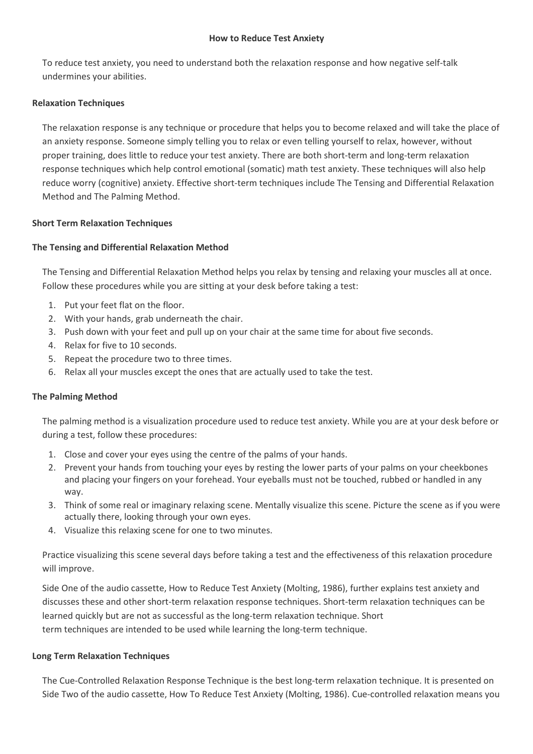#### **How to Reduce Test Anxiety**

To reduce test anxiety, you need to understand both the relaxation response and how negative self-talk undermines your abilities.

### **Relaxation Techniques**

The relaxation response is any technique or procedure that helps you to become relaxed and will take the place of an anxiety response. Someone simply telling you to relax or even telling yourself to relax, however, without proper training, does little to reduce your test anxiety. There are both short-term and long-term relaxation response techniques which help control emotional (somatic) math test anxiety. These techniques will also help reduce worry (cognitive) anxiety. Effective short-term techniques include The Tensing and Differential Relaxation Method and The Palming Method.

### **Short Term Relaxation Techniques**

# **The Tensing and Differential Relaxation Method**

The Tensing and Differential Relaxation Method helps you relax by tensing and relaxing your muscles all at once. Follow these procedures while you are sitting at your desk before taking a test:

- 1. Put your feet flat on the floor.
- 2. With your hands, grab underneath the chair.
- 3. Push down with your feet and pull up on your chair at the same time for about five seconds.
- 4. Relax for five to 10 seconds.
- 5. Repeat the procedure two to three times.
- 6. Relax all your muscles except the ones that are actually used to take the test.

#### **The Palming Method**

The palming method is a visualization procedure used to reduce test anxiety. While you are at your desk before or during a test, follow these procedures:

- 1. Close and cover your eyes using the centre of the palms of your hands.
- 2. Prevent your hands from touching your eyes by resting the lower parts of your palms on your cheekbones and placing your fingers on your forehead. Your eyeballs must not be touched, rubbed or handled in any way.
- 3. Think of some real or imaginary relaxing scene. Mentally visualize this scene. Picture the scene as if you were actually there, looking through your own eyes.
- 4. Visualize this relaxing scene for one to two minutes.

Practice visualizing this scene several days before taking a test and the effectiveness of this relaxation procedure will improve.

Side One of the audio cassette, How to Reduce Test Anxiety (Molting, 1986), further explains test anxiety and discusses these and other short-term relaxation response techniques. Short-term relaxation techniques can be learned quickly but are not as successful as the long-term relaxation technique. Short term techniques are intended to be used while learning the long-term technique.

#### **Long Term Relaxation Techniques**

The Cue-Controlled Relaxation Response Technique is the best long-term relaxation technique. It is presented on Side Two of the audio cassette, How To Reduce Test Anxiety (Molting, 1986). Cue-controlled relaxation means you